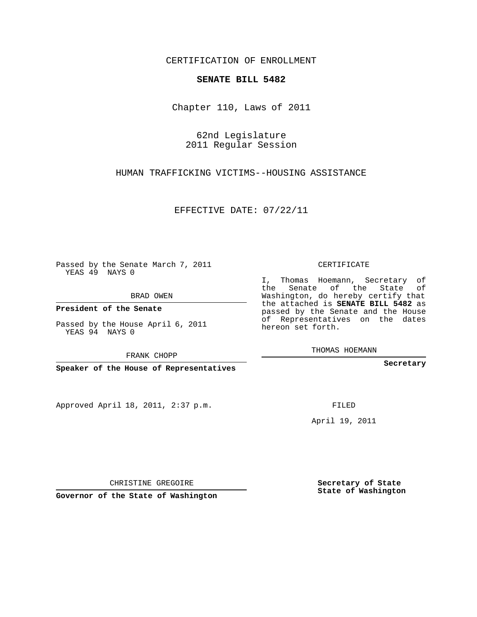CERTIFICATION OF ENROLLMENT

## **SENATE BILL 5482**

Chapter 110, Laws of 2011

62nd Legislature 2011 Regular Session

HUMAN TRAFFICKING VICTIMS--HOUSING ASSISTANCE

EFFECTIVE DATE: 07/22/11

Passed by the Senate March 7, 2011 YEAS 49 NAYS 0

BRAD OWEN

**President of the Senate**

Passed by the House April 6, 2011 YEAS 94 NAYS 0

FRANK CHOPP

**Speaker of the House of Representatives**

Approved April 18, 2011, 2:37 p.m.

CERTIFICATE

I, Thomas Hoemann, Secretary of the Senate of the State of Washington, do hereby certify that the attached is **SENATE BILL 5482** as passed by the Senate and the House of Representatives on the dates hereon set forth.

THOMAS HOEMANN

**Secretary**

FILED

April 19, 2011

CHRISTINE GREGOIRE

**Governor of the State of Washington**

**Secretary of State State of Washington**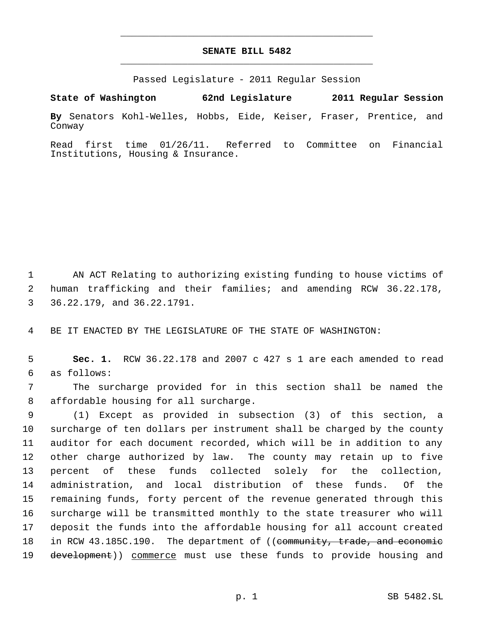## **SENATE BILL 5482** \_\_\_\_\_\_\_\_\_\_\_\_\_\_\_\_\_\_\_\_\_\_\_\_\_\_\_\_\_\_\_\_\_\_\_\_\_\_\_\_\_\_\_\_\_

\_\_\_\_\_\_\_\_\_\_\_\_\_\_\_\_\_\_\_\_\_\_\_\_\_\_\_\_\_\_\_\_\_\_\_\_\_\_\_\_\_\_\_\_\_

Passed Legislature - 2011 Regular Session

**State of Washington 62nd Legislature 2011 Regular Session**

**By** Senators Kohl-Welles, Hobbs, Eide, Keiser, Fraser, Prentice, and Conway

Read first time 01/26/11. Referred to Committee on Financial Institutions, Housing & Insurance.

1 AN ACT Relating to authorizing existing funding to house victims of 2 human trafficking and their families; and amending RCW 36.22.178, 3 36.22.179, and 36.22.1791.

4 BE IT ENACTED BY THE LEGISLATURE OF THE STATE OF WASHINGTON:

 5 **Sec. 1.** RCW 36.22.178 and 2007 c 427 s 1 are each amended to read 6 as follows:

 7 The surcharge provided for in this section shall be named the 8 affordable housing for all surcharge.

 (1) Except as provided in subsection (3) of this section, a surcharge of ten dollars per instrument shall be charged by the county auditor for each document recorded, which will be in addition to any other charge authorized by law. The county may retain up to five percent of these funds collected solely for the collection, administration, and local distribution of these funds. Of the remaining funds, forty percent of the revenue generated through this surcharge will be transmitted monthly to the state treasurer who will deposit the funds into the affordable housing for all account created 18 in RCW 43.185C.190. The department of ((community, trade, and economic 19 development)) commerce must use these funds to provide housing and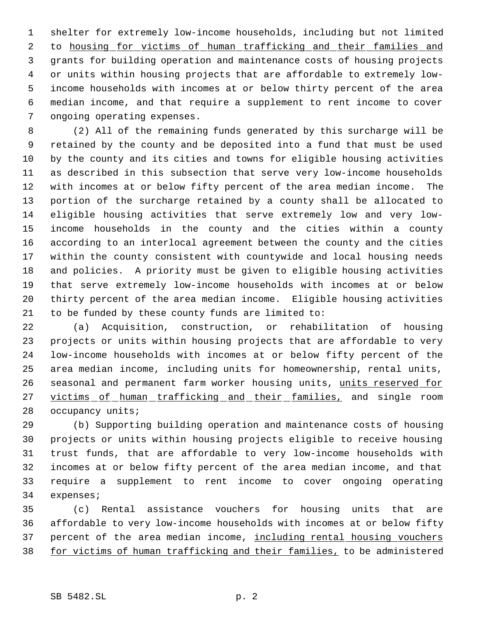shelter for extremely low-income households, including but not limited 2 to housing for victims of human trafficking and their families and grants for building operation and maintenance costs of housing projects or units within housing projects that are affordable to extremely low- income households with incomes at or below thirty percent of the area median income, and that require a supplement to rent income to cover ongoing operating expenses.

 (2) All of the remaining funds generated by this surcharge will be retained by the county and be deposited into a fund that must be used by the county and its cities and towns for eligible housing activities as described in this subsection that serve very low-income households with incomes at or below fifty percent of the area median income. The portion of the surcharge retained by a county shall be allocated to eligible housing activities that serve extremely low and very low- income households in the county and the cities within a county according to an interlocal agreement between the county and the cities within the county consistent with countywide and local housing needs and policies. A priority must be given to eligible housing activities that serve extremely low-income households with incomes at or below thirty percent of the area median income. Eligible housing activities to be funded by these county funds are limited to:

 (a) Acquisition, construction, or rehabilitation of housing projects or units within housing projects that are affordable to very low-income households with incomes at or below fifty percent of the area median income, including units for homeownership, rental units, 26 seasonal and permanent farm worker housing units, units reserved for 27 victims of human trafficking and their families, and single room 28 occupancy units;

 (b) Supporting building operation and maintenance costs of housing projects or units within housing projects eligible to receive housing trust funds, that are affordable to very low-income households with incomes at or below fifty percent of the area median income, and that require a supplement to rent income to cover ongoing operating expenses;

 (c) Rental assistance vouchers for housing units that are affordable to very low-income households with incomes at or below fifty 37 percent of the area median income, including rental housing vouchers 38 for victims of human trafficking and their families, to be administered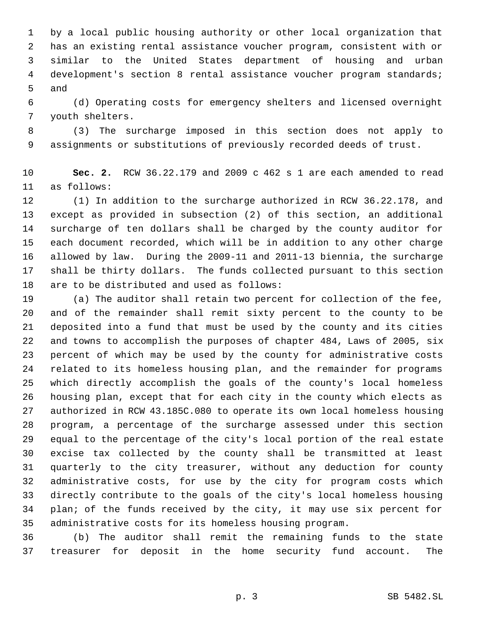by a local public housing authority or other local organization that has an existing rental assistance voucher program, consistent with or similar to the United States department of housing and urban development's section 8 rental assistance voucher program standards; and

 (d) Operating costs for emergency shelters and licensed overnight youth shelters.

 (3) The surcharge imposed in this section does not apply to assignments or substitutions of previously recorded deeds of trust.

 **Sec. 2.** RCW 36.22.179 and 2009 c 462 s 1 are each amended to read as follows:

 (1) In addition to the surcharge authorized in RCW 36.22.178, and except as provided in subsection (2) of this section, an additional surcharge of ten dollars shall be charged by the county auditor for each document recorded, which will be in addition to any other charge allowed by law. During the 2009-11 and 2011-13 biennia, the surcharge shall be thirty dollars. The funds collected pursuant to this section are to be distributed and used as follows:

 (a) The auditor shall retain two percent for collection of the fee, and of the remainder shall remit sixty percent to the county to be deposited into a fund that must be used by the county and its cities and towns to accomplish the purposes of chapter 484, Laws of 2005, six percent of which may be used by the county for administrative costs related to its homeless housing plan, and the remainder for programs which directly accomplish the goals of the county's local homeless housing plan, except that for each city in the county which elects as authorized in RCW 43.185C.080 to operate its own local homeless housing program, a percentage of the surcharge assessed under this section equal to the percentage of the city's local portion of the real estate excise tax collected by the county shall be transmitted at least quarterly to the city treasurer, without any deduction for county administrative costs, for use by the city for program costs which directly contribute to the goals of the city's local homeless housing plan; of the funds received by the city, it may use six percent for administrative costs for its homeless housing program.

 (b) The auditor shall remit the remaining funds to the state treasurer for deposit in the home security fund account. The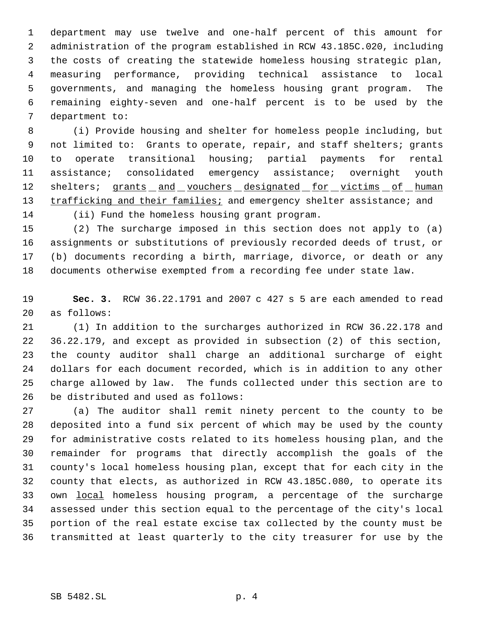department may use twelve and one-half percent of this amount for administration of the program established in RCW 43.185C.020, including the costs of creating the statewide homeless housing strategic plan, measuring performance, providing technical assistance to local governments, and managing the homeless housing grant program. The remaining eighty-seven and one-half percent is to be used by the department to:

 (i) Provide housing and shelter for homeless people including, but not limited to: Grants to operate, repair, and staff shelters; grants to operate transitional housing; partial payments for rental assistance; consolidated emergency assistance; overnight youth 12 shelters; grants and vouchers designated for victims of human 13 trafficking and their families; and emergency shelter assistance; and (ii) Fund the homeless housing grant program.

 (2) The surcharge imposed in this section does not apply to (a) assignments or substitutions of previously recorded deeds of trust, or (b) documents recording a birth, marriage, divorce, or death or any documents otherwise exempted from a recording fee under state law.

 **Sec. 3.** RCW 36.22.1791 and 2007 c 427 s 5 are each amended to read as follows:

 (1) In addition to the surcharges authorized in RCW 36.22.178 and 36.22.179, and except as provided in subsection (2) of this section, the county auditor shall charge an additional surcharge of eight dollars for each document recorded, which is in addition to any other charge allowed by law. The funds collected under this section are to be distributed and used as follows:

 (a) The auditor shall remit ninety percent to the county to be deposited into a fund six percent of which may be used by the county for administrative costs related to its homeless housing plan, and the remainder for programs that directly accomplish the goals of the county's local homeless housing plan, except that for each city in the county that elects, as authorized in RCW 43.185C.080, to operate its 33 own local homeless housing program, a percentage of the surcharge assessed under this section equal to the percentage of the city's local portion of the real estate excise tax collected by the county must be transmitted at least quarterly to the city treasurer for use by the